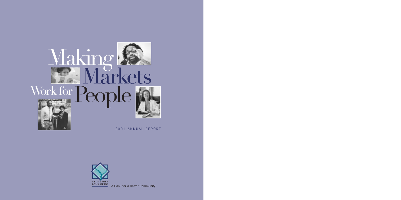

2001 ANNUAL REPORT



A Bank for a Better Community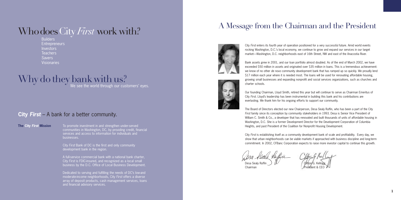To promote investment in and strengthen under-served communities in Washington, DC, by providing credit, financial services and access to information for individuals and businesses.

City *First* Bank of DC is the first and only community development bank in the region.

A full-service commercial bank with a national bank charter, City *First* is FDIC-insured, and recognized as a local small business by the D.C. Office of Local Business Development.

**Builders Entrepreneurs Investors** Teachers **Savers** Visionaries

# Why do they bank with us?

Dedicated to serving and fulfilling the needs of DC's low-and moderate-income neighborhoods, City *First* offers a diverse array of deposit products, cash management services, loans and financial advisory services.

# **City** *First* – A bank for a better community.

**The City** *First* **Mission**

# WhodoesCity *First* work with?

# A Message from the Chairman and the President



City *First* enters its fourth year of operation positioned for a very successful future. Amid world events rocking Washington, D.C.'s local economy, we continue to grow and expand our services in our target market—Washington, D.C. neighborhoods east of 16th Street, NW and east of the Anacostia River.

Bank assets grew in 2001, and our loan portfolio almost doubled. As of the end of March 2002, we have exceeded \$50 million in assets and originated over \$35 million in loans. This is a tremendous achievement: we know of no other *de novo* community development bank that has ramped up so quickly. We proudly lend \$17 million each year where it is needed most. The loans will be used for renovating affordable housing, growing small businesses and expanding nonprofit and social services organizations, such as churches and charter schools.

Our founding Chairman, Lloyd Smith, retired this year but will continue to serve as Chairman Emeritus of City *First*. Lloyd's leadership has been instrumental in building this bank and his contributions are everlasting. We thank him for his ongoing efforts to support our community.

The Board of Directors elected our new Chairperson, Desa Sealy Ruffin, who has been a part of the City *First* family since its conception by community stakeholders in 1993. Desa is Senior Vice President of William C. Smith & Co., a developer that has renovated and built thousands of units of affordable housing in Washington, D.C. She is a former Development Director for the Development Corporation of Columbia Heights, and past President of the Coalition for Nonprofit Housing Development.

City *First* is establishing itself as a community development bank of scale and profitability. Every day, we show that urban neighborhoods can be viable markets if approached with business discipline and long-term commitment. In 2002, CFBanc Corporation expects to raise more investor capital to continue this growth.

Desa Sealy Ruffin  $\mathcal{C}$  ( $\mathcal{C}$   $\mathcal{C}$   $\mathcal{C}$   $\mathcal{C}$   $\mathcal{C}$   $\mathcal{C}$   $\mathcal{C}$   $\mathcal{C}$   $\mathcal{C}$   $\mathcal{C}$   $\mathcal{C}$   $\mathcal{C}$   $\mathcal{C}$   $\mathcal{C}$   $\mathcal{C}$   $\mathcal{C}$   $\mathcal{C}$   $\mathcal{C}$   $\mathcal{C}$   $\mathcal{C}$   $\mathcal{C}$   $\mathcal$ 

Chairman **President & CEO**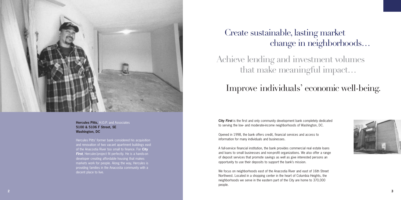

**Hercules Pitts,** H.O.P. and Associates **5100 & 5106 F Street, SE Washington, DC**

Hercules Pitts' former bank considered his acquisition and renovation of two vacant apartment buildings east of the Anacostia River too small to finance. For **City First**, Hercules' project fit perfectly. He is a hands-on developer creating affordable housing that makes markets work for people. Along the way, Hercules is providing families in the Anacostia community with a decent place to live.

**City** *First* is the first and only community development bank completely dedicated to serving the low- and moderate-income neighborhoods of Washington, DC.

Opened in 1998, the bank offers credit, financial services and access to information for many individuals and businesses.

A full-service financial institution, the bank provides commercial real estate loans and loans to small businesses and non-profit organizations. We also offer a range of deposit services that promote savings as well as give interested persons an opportunity to use their deposits to support the bank's mission.

We focus on neighborhoods east of the Anacostia River and east of 16th Street Northwest. Located in a shopping center in the heart of Columbia Heights, the neighborhoods we serve in the eastern part of the City are home to 370,000 people.

# Achieve lending and investment volumes

that make meaningful impact…



# Improve individuals' economic well-being.

# Create sustainable, lasting market change in neighborhoods…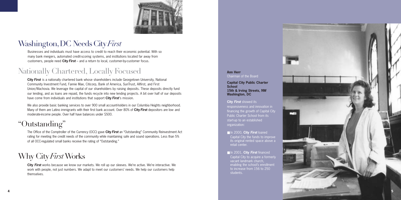

Businesses and individuals must have access to credit to reach their economic potential. With so many bank mergers, automated credit-scoring systems, and institutions located far away from customers, people need **City** *First* – and a return to local, customer-by-customer focus.



# Washington,DC NeedsCity*First*

# Nationally Chartered, Locally Focused

**City** *First* is a nationally chartered bank whose shareholders include Georgetown University, National Community Investment Fund, Fannie Mae, Citicorp, Bank of America, SunTrust, Allfirst, and First Union/Wachovia. We leverage the capital of our shareholders by raising deposits. These deposits directly fund our lending, and as loans are repaid, the funds recycle into new lending projects. A bit over half of our deposits have come from individuals and institutions that support **City** *First*'s mission.

### **Ann Herr Chairman of the Board**

We also provide basic banking services to over 900 small account-holders in our Columbia Heights neighborhood. Many of them are Latino immigrants with their first bank account. Over 80% of **City** *First* depositors are low- and moderate-income people. Over half have balances under \$500.

### ■ In 2000, City First loaned Capital City the funds to improve

### ■ In 2001, City First financed Capital City to acquire a formerly vacant landmark church, enabling the school's enrollment to increase from 156 to 250 students.

# "Outstanding"

The Office of the Comptroller of the Currency (OCC) gave **City** *First* an "Outstanding" Community Reinvestment Act rating for meeting the credit needs of the community while maintaining safe and sound operations. Less than 5% of all OCC-regulated small banks receive the rating of "Outstanding."

# Why City*First*Works

**City** *First* works because we know our markets. We roll up our sleeves. We're active. We're interactive. We work with people, not just numbers. We adapt to meet our customers' needs. We help our customers help themselves.

**Capital City Public Charter School 15th & Irving Streets, NW Washington, DC**

### **City** *First* showed its

responsiveness and innovation in financing the growth of Capital City Public Charter School from its start-up to an established organization:

its original rented space above a retail center.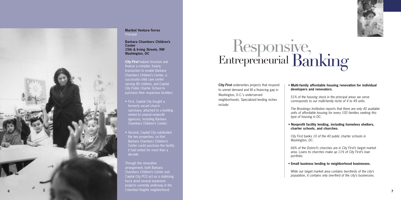

**Barbara Chambers Children's Center 15th & Irving Streets, NW Washington, DC**

**City** *First* helped structure and finance a complex 3-party transaction to enable Barbara Chambers Children's Center, a successful child care center serving 80 children, and Capital City Public Charter School to purchase their respective facilities:

**Maribel Ventura-Torres Principal** 

- First, Capital City bought a formerly vacant church sanctuary, attached to a building rented to several nonprofit agencies, including Barbara Chambers Children's Center;
- Second, Capital City subdivided the two properties, so that Barbara Chambers Children's Center could purchase the facility it had rented for more than a decade.

Through this innovative arrangement, both Barbara Chambers Children's Center and Capital City PCS act as a stablizing force amid several expansion projects currently underway in the Columbia Heights neighborhood.

# Responsive,<br>Entrepreneurial Banking

### • **Multi-family affordable housing renovation for individual developers and renovators.**

*51% of the housing stock in the principal areas we serve corresponds to our multi-family niche of 4 to 49 units.*

*The Brookings Institution reports that there are only 40 available units of affordable housing for every 100 families seeking this type of housing in DC.*

### • **Nonprofit facility lending, including homeless shelters, charter schools, and churches.**

*City First banks 10 of the 40 public charter schools in Washington, DC.*

*66% of the District's churches are in City First's target market area. Loans to churches make up 11% of City First's loan portfolio.*

## • **Small business lending to neighborhood businesses.**

*While our target market area contains two-thirds of the city's population, it contains only one-third of the city's businesses.*





**City** *First* underwrites projects that respond to unmet demand and fill a financing gap in Washington, D.C.'s underserved neighborhoods. Specialized lending niches include: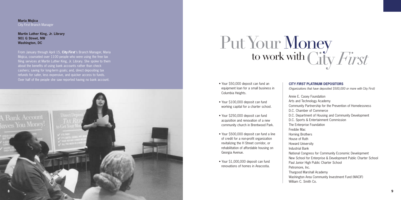• Your \$50,000 deposit can fund an equipment loan for a small business in Columbia Heights.

- Your \$100,000 deposit can fund working capital for a charter school.
- Your \$250,000 deposit can fund acquisition and renovation of a new community church in Brentwood Park.
- Your \$500,000 deposit can fund a line of credit for a non-profit organization revitalizing the H Street corridor, or rehabilitation of affordable housing on Georgia Avenue.
- Your \$1,000,000 deposit can fund renovations of homes in Anacostia.



# Put Your Money<br>to work with City *First*

**Maria Mojica**  City *First* Branch Manager

**Martin Luther King, Jr. Library 901 G Street, NW Washington, DC**

From January through April 15, **City** *First* 's Branch Manager, Maria Mojica, counseled over 1100 people who were using the free tax filing services at Martin Luther King, Jr. Library. She spoke to them about the benefits of using bank accounts rather than check cashers; saving for long-term goals; and, direct depositing tax refunds for safer, less expensive, and quicker access to funds. Over half of the people she saw reported having no bank account.

- Annie E. Casey Foundation
- Arts and Technology Academy
- Community Partnership for the Prevention of Homelessness
- D.C. Chamber of Commerce
- D.C. Department of Housing and Community Development
- D.C. Sports & Entertainment Commission
- The Enterprise Foundation
- Freddie Mac
- Horning Brothers
- House of Ruth
- Howard University
- Industrial Bank
- National Congress for Community Economic Development
- New School for Enterprise & Development Public Charter School
- Paul Junior High Public Charter School Petromore, Inc.
- Thurgood Marshall Academy
- Washington Area Community Investment Fund (WACIF)
- William C. Smith Co.

# **CITY** *FIRST* **PLATINUM DEPOSITORS**

*(Organizations that have deposited \$500,000 or more with* City *First)*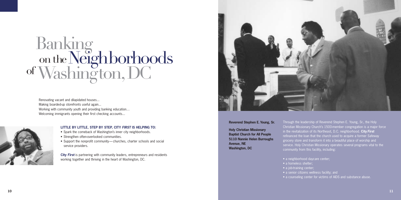# Banking on the Neighborhoods<br>of Washington, DC

Renovating vacant and dilapidated houses... Making boarded-up storefronts useful again... Working with community youth and providing banking education… Welcoming immigrants opening their first checking accounts...



## **LITTLE BY LITTLE, STEP BY STEP, CITY** *FIRST* **IS HELPING TO:**

- Spark the comeback of Washington's inner city neighborhoods.
- Strengthen often-overlooked communities.
- Support the nonprofit community— churches, charter schools and social service providers.

**City** *First* is partnering with community leaders, entrepreneurs and residents working together and thriving in the heart of Washington, DC.



- a homeless shelter;
- a job-training center;
- a senior citizens wellness facility; and
- a counseling center for victims of AIDS and substance abuse.

Through the leadership of Reverend Stephen E. Young, Sr., the Holy Christian Missionary Church's 1500-member congregation is a major force in the revitalization of its Northeast, D.C. neighborhood. **City** *First* refinanced the loan that the church used to acquire a former Safeway grocery store and transform it into a beautiful place of worship and service. Holy Christian Missionary operates several programs vital to the community from this facility, including:

### **Reverend Stephen E. Young, Sr.**

**Holy Christian Missionary Baptist Church for All People 5110 Nannie Helen Burroughs Avenue, NE Washington, DC**

- 
- a neighborhood daycare center;
- 
- 
- 
-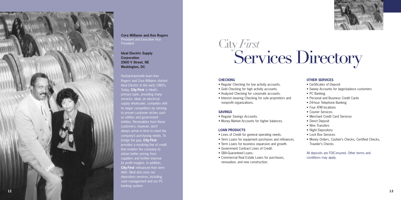

**Ideal Electric Supply Corporation 2900 V Street, NE Washington, DC**

Husband-and-wife team Ken Rogers and Cora Williams started Ideal Electric in the early 1980's. Today, **City** *First* is Ideal's primary bank, providing many services. Ideal, an electrical supply wholesaler, competes with its larger competitors by sticking to proven customer niches such as utilities and government entities. Receivables from these customers, however, don't always arrive in time to meet the company's purchasing needs. To bridge the gap, **City** *First* provides a revolving line of credit that enables the company to obtain better pricing from suppliers and further improve its profit margins. In addition, **City First** refinanced their term debt. Ideal also uses our depository services, including cash management and our PC banking system.

# City *First*<br>Services Directory

### **CHECKING**

**Cora Williams and Ken Rogers** President and Executive Vice **President** 

- Regular Checking for low activity accounts.
- Gold Checking for high activity accounts.
- Analyzed Checking for corporate accounts.
- Interest–bearing Checking for sole proprietors and nonprofit organizations.

### **SAVINGS**

- Regular Savings Accounts.
- Money Market Accounts for higher balances.

# **LOAN PRODUCTS**

- Lines of Credit for general operating needs.
- Term Loans for equipment purchases and refinances.
- Term Loans for business expansion and growth.
- Government Contract Lines of Credit.
- SBA-Guaranteed Loans.
- Commercial Real Estate Loans for purchases, renovation, and new construction.



## **OTHER SERVICES**

- Certificates of Deposit
- Sweep Accounts for large-balance customers
- PC Banking
- Personal and Business Credit Cards
- 24-hour Telephone Banking
- Four ATM locations
- Courier Services
- Merchant Credit Card Services
- Direct Deposit
- Wire Transfers
- Night Depository
- Lock Box Services
- Money Orders, Cashier's Checks, Certified Checks, Traveler's Checks

All deposits are FDIC-insured. Other terms and conditions may apply.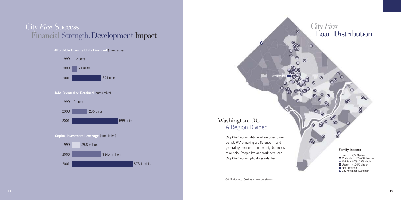# **Affordable Housing Units Financed** (cumulative)



# City *First* Loan Distribution

 $^{\circ}$ 

o

**egg** 

 $\odot$ 

 $\Omega$ 

 $\odot$ 

 $\frac{6}{6}$ 

 $\odot$ 

⊙

 $\bullet$ 

 $\odot$ 

Q,

 $\odot$ 

 $\odot$ 

 $^{\circ}$ 

 $\odot$ 

o,

 $\frac{1}{\sqrt{2}}$ 

### **Family Income**

O

- $\square$  Low = <50% Median
- $\Box$  Moderate = 50%-79% Median

 $\circ$ 

## **Capital Investment Leverage** (cumulative)



# City *First* Success Financial Strength,Development Impact



# **Jobs Created or Retained** (cumulative)

- $\blacksquare$  Middle = 80%-119% Median
- $\Box$  Upper = >120% Median
- Not Classified
- City *First* Loan Customer

**City** *First* works full-time where other banks do not. We're making a difference — and generating revenue — in the neighborhoods of our city. People live and work here, and **City** *First* works right along side them.

# A Region Divided Washington, DC—

© CRA Information Services • www.crahelp.com

**City** *First* **Bank**

 $\bullet$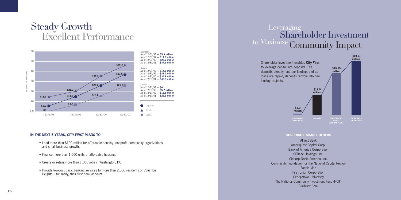# Leveraging<br>Shareholder Investment to Maximize Community Impact

# **CORPORATE SHAREHOLDERS**

Allfirst Bank Ameriquest Capital Corp. Bank of America Corporation CFBanc Holdings, Inc. Citicorp North America, Inc. Fannie Mae First Union Corporation Georgetown University SunTrust Bank

Community Foundation for the National Capital Region The National Community Investment Fund (NCIF)

Shareholder Investment enables **City** *First* to leverage capital into deposits. The deposits directly fund our lending, and as loans are repaid, deposits recycle into new lending projects.

# Steady Growth Excellent Performance

### **IN THE NEXT 5 YEARS, CITY** *FIRST* **PLANS TO:**





- Lend more than \$100 million for affordable housing, nonprofit community organizations, and small business growth.
- Finance more than 1,000 units of affordable housing.
- Create or retain more than 1,000 jobs in Washington, DC.
- Provide low-cost basic banking services to more than 2,000 residents of Columbia Heights – for many, their first bank account.